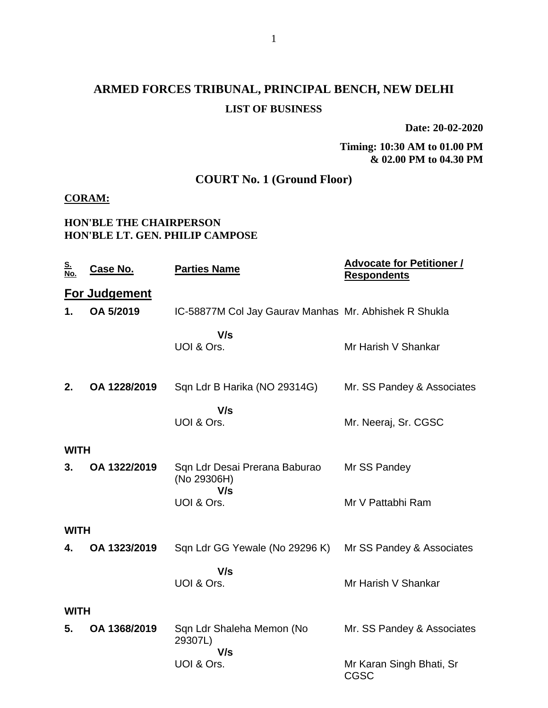# **ARMED FORCES TRIBUNAL, PRINCIPAL BENCH, NEW DELHI LIST OF BUSINESS**

**Date: 20-02-2020**

#### **Timing: 10:30 AM to 01.00 PM & 02.00 PM to 04.30 PM**

## **COURT No. 1 (Ground Floor)**

#### **CORAM:**

#### **HON'BLE THE CHAIRPERSON HON'BLE LT. GEN. PHILIP CAMPOSE**

| <u>S.</u><br>No. | <u>Case No.</u>      | <b>Parties Name</b>                                   | <b>Advocate for Petitioner /</b><br><b>Respondents</b> |
|------------------|----------------------|-------------------------------------------------------|--------------------------------------------------------|
|                  | <b>For Judgement</b> |                                                       |                                                        |
| 1.               | OA 5/2019            | IC-58877M Col Jay Gaurav Manhas Mr. Abhishek R Shukla |                                                        |
|                  |                      | V/s<br>UOI & Ors.                                     | Mr Harish V Shankar                                    |
| 2.               | OA 1228/2019         | Sqn Ldr B Harika (NO 29314G)                          | Mr. SS Pandey & Associates                             |
|                  |                      | V/s<br>UOI & Ors.                                     | Mr. Neeraj, Sr. CGSC                                   |
| <b>WITH</b>      |                      |                                                       |                                                        |
| 3.               | OA 1322/2019         | Sqn Ldr Desai Prerana Baburao<br>(No 29306H)          | Mr SS Pandey                                           |
|                  |                      | V/s<br>UOI & Ors.                                     | Mr V Pattabhi Ram                                      |
| <b>WITH</b>      |                      |                                                       |                                                        |
| 4.               | OA 1323/2019         | Sqn Ldr GG Yewale (No 29296 K)                        | Mr SS Pandey & Associates                              |
|                  |                      | V/s<br>UOI & Ors.                                     | Mr Harish V Shankar                                    |
| <b>WITH</b>      |                      |                                                       |                                                        |
| 5.               | OA 1368/2019         | Sqn Ldr Shaleha Memon (No<br>29307L)                  | Mr. SS Pandey & Associates                             |
|                  |                      | V/s<br>UOI & Ors.                                     | Mr Karan Singh Bhati, Sr<br><b>CGSC</b>                |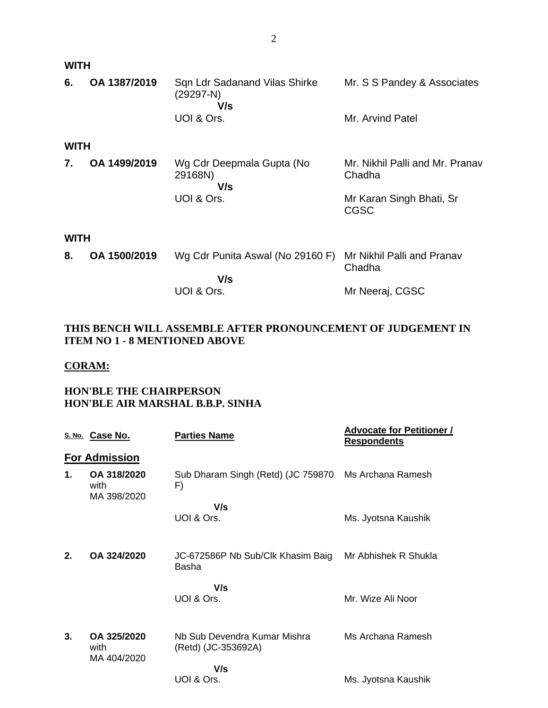| <b>WITH</b> |              |                                                     |                                           |  |
|-------------|--------------|-----------------------------------------------------|-------------------------------------------|--|
| 6.          | OA 1387/2019 | Sqn Ldr Sadanand Vilas Shirke<br>$(29297-N)$<br>V/s | Mr. S S Pandey & Associates               |  |
|             |              | UOI & Ors.                                          | Mr. Arvind Patel                          |  |
| <b>WITH</b> |              |                                                     |                                           |  |
| 7.          | OA 1499/2019 | Wg Cdr Deepmala Gupta (No<br>29168N)<br>V/s         | Mr. Nikhil Palli and Mr. Pranav<br>Chadha |  |
|             |              | UOI & Ors.                                          | Mr Karan Singh Bhati, Sr<br><b>CGSC</b>   |  |
| <b>WITH</b> |              |                                                     |                                           |  |
| 8.          | OA 1500/2019 | Wg Cdr Punita Aswal (No 29160 F)                    | Mr Nikhil Palli and Pranav<br>Chadha      |  |
|             |              | V/s                                                 |                                           |  |
|             |              | UOI & Ors.                                          | Mr Neeraj, CGSC                           |  |

### **THIS BENCH WILL ASSEMBLE AFTER PRONOUNCEMENT OF JUDGEMENT IN ITEM NO 1 - 8 MENTIONED ABOVE**

#### **CORAM:**

#### **HON'BLE THE CHAIRPERSON HON'BLE AIR MARSHAL B.B.P. SINHA**

|    | S. No. Case No.                    | <b>Parties Name</b>                                 | <b>Advocate for Petitioner /</b><br><b>Respondents</b> |
|----|------------------------------------|-----------------------------------------------------|--------------------------------------------------------|
|    | <b>For Admission</b>               |                                                     |                                                        |
| 1. | OA 318/2020<br>with<br>MA 398/2020 | Sub Dharam Singh (Retd) (JC 759870<br>F)            | Ms Archana Ramesh                                      |
|    |                                    | V/s<br>UOI & Ors.                                   | Ms. Jyotsna Kaushik                                    |
| 2. | OA 324/2020                        | JC-672586P Nb Sub/Clk Khasim Baig<br>Basha          | Mr Abhishek R Shukla                                   |
|    |                                    | V/s<br>UOI & Ors.                                   | Mr. Wize Ali Noor                                      |
| 3. | OA 325/2020<br>with<br>MA 404/2020 | Nb Sub Devendra Kumar Mishra<br>(Retd) (JC-353692A) | Ms Archana Ramesh                                      |
|    |                                    | V/s<br>UOI & Ors.                                   | Ms. Jyotsna Kaushik                                    |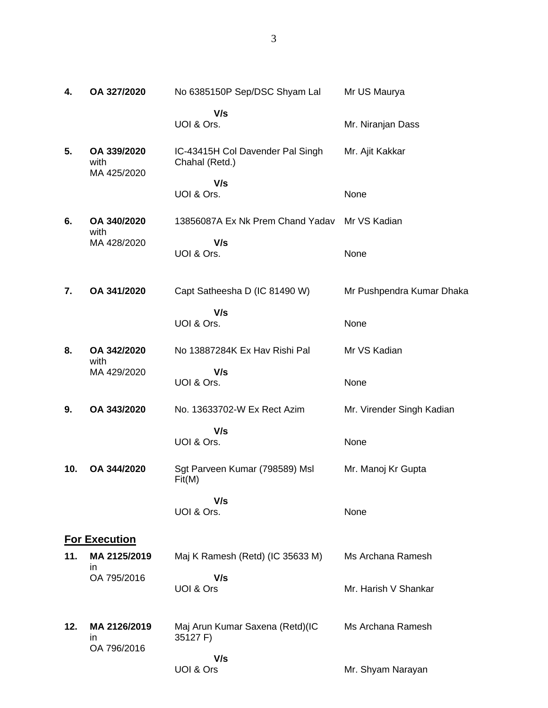| 4.  | OA 327/2020                        | No 6385150P Sep/DSC Shyam Lal                      | Mr US Maurya              |
|-----|------------------------------------|----------------------------------------------------|---------------------------|
|     |                                    | V/s<br>UOI & Ors.                                  | Mr. Niranjan Dass         |
| 5.  | OA 339/2020<br>with<br>MA 425/2020 | IC-43415H Col Davender Pal Singh<br>Chahal (Retd.) | Mr. Ajit Kakkar           |
|     |                                    | V/s<br>UOI & Ors.                                  | None                      |
| 6.  | OA 340/2020<br>with                | 13856087A Ex Nk Prem Chand Yadav                   | Mr VS Kadian              |
|     | MA 428/2020                        | V/s<br>UOI & Ors.                                  | None                      |
| 7.  | OA 341/2020                        | Capt Satheesha D (IC 81490 W)                      | Mr Pushpendra Kumar Dhaka |
|     |                                    | V/s<br>UOI & Ors.                                  | None                      |
| 8.  | OA 342/2020<br>with                | No 13887284K Ex Hav Rishi Pal                      | Mr VS Kadian              |
|     | MA 429/2020                        | V/s<br>UOI & Ors.                                  | None                      |
| 9.  | OA 343/2020                        | No. 13633702-W Ex Rect Azim                        | Mr. Virender Singh Kadian |
|     |                                    | V/s<br>UOI & Ors.                                  | None                      |
| 10. | OA 344/2020                        | Sgt Parveen Kumar (798589) Msl<br>Fit(M)           | Mr. Manoj Kr Gupta        |
|     |                                    | V/s<br>UOI & Ors.                                  | None                      |
|     | <b>For Execution</b>               |                                                    |                           |
| 11. | MA 2125/2019<br>ın                 | Maj K Ramesh (Retd) (IC 35633 M)                   | Ms Archana Ramesh         |
|     | OA 795/2016                        | V/s<br>UOI & Ors                                   | Mr. Harish V Shankar      |
| 12. | MA 2126/2019<br>in                 | Maj Arun Kumar Saxena (Retd)(IC<br>35127 F)        | Ms Archana Ramesh         |

 **V/s** UOI & Ors

OA 796/2016

Mr. Shyam Narayan

3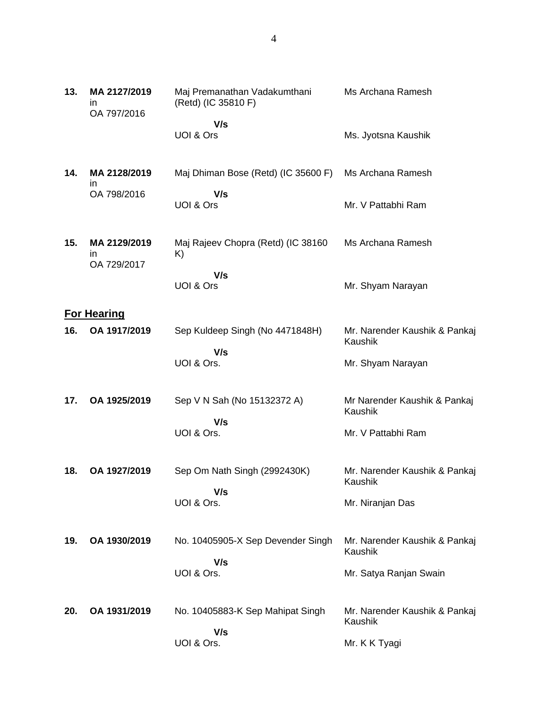| 13. | MA 2127/2019<br>ın<br>OA 797/2016 | Maj Premanathan Vadakumthani<br>(Retd) (IC 35810 F) | Ms Archana Ramesh                        |
|-----|-----------------------------------|-----------------------------------------------------|------------------------------------------|
|     |                                   | V/s<br>UOI & Ors                                    | Ms. Jyotsna Kaushik                      |
| 14. | MA 2128/2019<br>in                | Maj Dhiman Bose (Retd) (IC 35600 F)                 | Ms Archana Ramesh                        |
|     | OA 798/2016                       | V/s<br>UOI & Ors                                    | Mr. V Pattabhi Ram                       |
| 15. | MA 2129/2019<br>in<br>OA 729/2017 | Maj Rajeev Chopra (Retd) (IC 38160<br>K)            | Ms Archana Ramesh                        |
|     |                                   | V/s<br>UOI & Ors                                    | Mr. Shyam Narayan                        |
|     | <b>For Hearing</b>                |                                                     |                                          |
| 16. | OA 1917/2019                      | Sep Kuldeep Singh (No 4471848H)                     | Mr. Narender Kaushik & Pankaj<br>Kaushik |
|     |                                   | V/s<br>UOI & Ors.                                   | Mr. Shyam Narayan                        |
| 17. | OA 1925/2019                      | Sep V N Sah (No 15132372 A)<br>V/s                  | Mr Narender Kaushik & Pankaj<br>Kaushik  |
|     |                                   | UOI & Ors.                                          | Mr. V Pattabhi Ram                       |
| 18. | OA 1927/2019                      | Sep Om Nath Singh (2992430K)                        | Mr. Narender Kaushik & Pankaj<br>Kaushik |
|     |                                   | V/s<br>UOI & Ors.                                   | Mr. Niranjan Das                         |
| 19. | OA 1930/2019                      | No. 10405905-X Sep Devender Singh                   | Mr. Narender Kaushik & Pankaj<br>Kaushik |
|     |                                   | V/s<br>UOI & Ors.                                   | Mr. Satya Ranjan Swain                   |
| 20. | OA 1931/2019                      | No. 10405883-K Sep Mahipat Singh<br>V/s             | Mr. Narender Kaushik & Pankaj<br>Kaushik |
|     |                                   | UOI & Ors.                                          | Mr. K K Tyagi                            |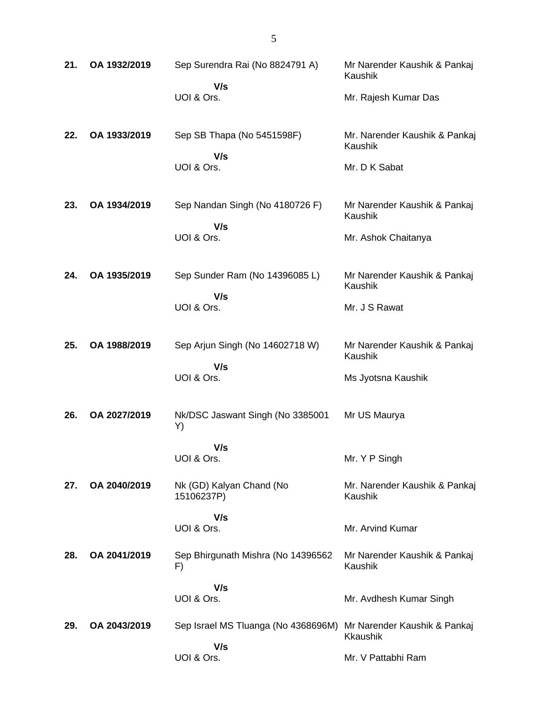| 21. | OA 1932/2019 | Sep Surendra Rai (No 8824791 A)<br>V/s     | Mr Narender Kaushik & Pankaj<br>Kaushik         |
|-----|--------------|--------------------------------------------|-------------------------------------------------|
|     |              | UOI & Ors.                                 | Mr. Rajesh Kumar Das                            |
| 22. | OA 1933/2019 | Sep SB Thapa (No 5451598F)<br>V/s          | Mr. Narender Kaushik & Pankaj<br>Kaushik        |
|     |              | UOI & Ors.                                 | Mr. D K Sabat                                   |
| 23. | OA 1934/2019 | Sep Nandan Singh (No 4180726 F)<br>V/s     | Mr Narender Kaushik & Pankaj<br>Kaushik         |
|     |              | UOI & Ors.                                 | Mr. Ashok Chaitanya                             |
| 24. | OA 1935/2019 | Sep Sunder Ram (No 14396085 L)<br>V/s      | Mr Narender Kaushik & Pankaj<br>Kaushik         |
|     |              | UOI & Ors.                                 | Mr. J S Rawat                                   |
| 25. | OA 1988/2019 | Sep Arjun Singh (No 14602718 W)<br>V/s     | Mr Narender Kaushik & Pankaj<br>Kaushik         |
|     |              | UOI & Ors.                                 | Ms Jyotsna Kaushik                              |
| 26. | OA 2027/2019 | Nk/DSC Jaswant Singh (No 3385001<br>Y)     | Mr US Maurya                                    |
|     |              | V/s<br>UOI & Ors.                          | Mr. Y P Singh                                   |
| 27. | OA 2040/2019 | Nk (GD) Kalyan Chand (No<br>15106237P)     | Mr. Narender Kaushik & Pankaj<br>Kaushik        |
|     |              | V/s<br>UOI & Ors.                          | Mr. Arvind Kumar                                |
| 28. | OA 2041/2019 | Sep Bhirgunath Mishra (No 14396562<br>F)   | Mr Narender Kaushik & Pankaj<br>Kaushik         |
|     |              | V/s<br>UOI & Ors.                          | Mr. Avdhesh Kumar Singh                         |
| 29. | OA 2043/2019 | Sep Israel MS Tluanga (No 4368696M)<br>V/s | Mr Narender Kaushik & Pankaj<br><b>Kkaushik</b> |
|     |              | UOI & Ors.                                 | Mr. V Pattabhi Ram                              |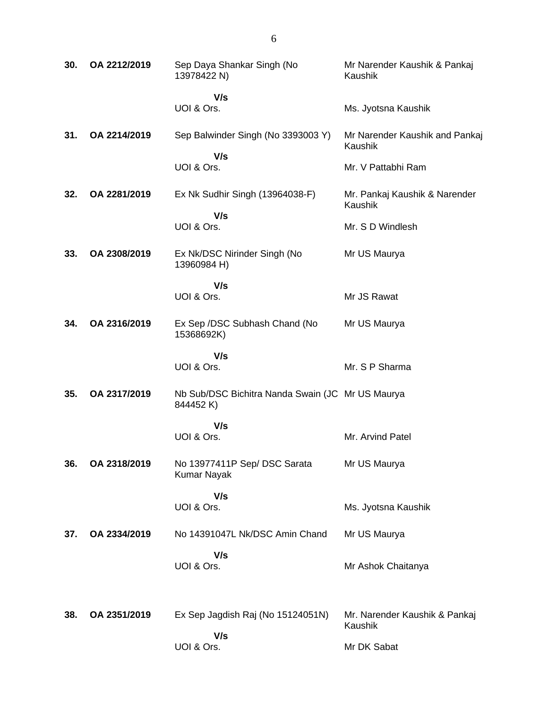| 30. | OA 2212/2019 | Sep Daya Shankar Singh (No<br>13978422 N)                    | Mr Narender Kaushik & Pankaj<br>Kaushik         |
|-----|--------------|--------------------------------------------------------------|-------------------------------------------------|
|     |              | V/s<br>UOI & Ors.                                            |                                                 |
|     |              |                                                              | Ms. Jyotsna Kaushik                             |
| 31. | OA 2214/2019 | Sep Balwinder Singh (No 3393003 Y)<br>V/s                    | Mr Narender Kaushik and Pankaj<br>Kaushik       |
|     |              | UOI & Ors.                                                   | Mr. V Pattabhi Ram                              |
| 32. | OA 2281/2019 | Ex Nk Sudhir Singh (13964038-F)                              | Mr. Pankaj Kaushik & Narender<br><b>Kaushik</b> |
|     |              | V/s<br>UOI & Ors.                                            | Mr. S D Windlesh                                |
| 33. | OA 2308/2019 | Ex Nk/DSC Nirinder Singh (No<br>13960984 H)                  | Mr US Maurya                                    |
|     |              | V/s<br>UOI & Ors.                                            | Mr JS Rawat                                     |
| 34. | OA 2316/2019 | Ex Sep /DSC Subhash Chand (No<br>15368692K)                  | Mr US Maurya                                    |
|     |              | V/s<br>UOI & Ors.                                            | Mr. S P Sharma                                  |
| 35. | OA 2317/2019 | Nb Sub/DSC Bichitra Nanda Swain (JC Mr US Maurya<br>844452K) |                                                 |
|     |              | V/s                                                          |                                                 |
|     |              | UOI & Ors.                                                   | Mr. Arvind Patel                                |
| 36. | OA 2318/2019 | No 13977411P Sep/ DSC Sarata<br><b>Kumar Nayak</b>           | Mr US Maurya                                    |
|     |              | V/s                                                          |                                                 |
|     |              | UOI & Ors.                                                   | Ms. Jyotsna Kaushik                             |
| 37. | OA 2334/2019 | No 14391047L Nk/DSC Amin Chand                               | Mr US Maurya                                    |
|     |              | V/s<br>UOI & Ors.                                            | Mr Ashok Chaitanya                              |
| 38. | OA 2351/2019 | Ex Sep Jagdish Raj (No 15124051N)                            | Mr. Narender Kaushik & Pankaj<br>Kaushik        |
|     |              | V/s<br>UOI & Ors.                                            | Mr DK Sabat                                     |
|     |              |                                                              |                                                 |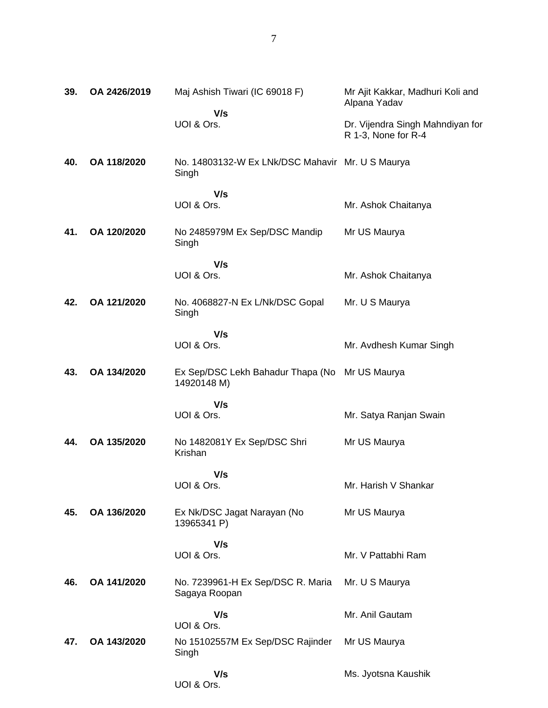| 39. | OA 2426/2019 | Maj Ashish Tiwari (IC 69018 F)                            | Mr Ajit Kakkar, Madhuri Koli and<br>Alpana Yadav        |
|-----|--------------|-----------------------------------------------------------|---------------------------------------------------------|
|     |              | V/s<br>UOI & Ors.                                         | Dr. Vijendra Singh Mahndiyan for<br>R 1-3, None for R-4 |
| 40. | OA 118/2020  | No. 14803132-W Ex LNk/DSC Mahavir Mr. U S Maurya<br>Singh |                                                         |
|     |              | V/s                                                       |                                                         |
|     |              | UOI & Ors.                                                | Mr. Ashok Chaitanya                                     |
| 41. | OA 120/2020  | No 2485979M Ex Sep/DSC Mandip<br>Singh                    | Mr US Maurya                                            |
|     |              | V/s                                                       |                                                         |
|     |              | UOI & Ors.                                                | Mr. Ashok Chaitanya                                     |
| 42. | OA 121/2020  | No. 4068827-N Ex L/Nk/DSC Gopal<br>Singh                  | Mr. U S Maurya                                          |
|     |              | V/s                                                       |                                                         |
|     |              | UOI & Ors.                                                | Mr. Avdhesh Kumar Singh                                 |
| 43. | OA 134/2020  | Ex Sep/DSC Lekh Bahadur Thapa (No<br>14920148 M)          | Mr US Maurya                                            |
|     |              | V/s                                                       |                                                         |
|     |              | UOI & Ors.                                                | Mr. Satya Ranjan Swain                                  |
| 44. | OA 135/2020  | No 1482081Y Ex Sep/DSC Shri<br>Krishan                    | Mr US Maurya                                            |
|     |              | V/s                                                       |                                                         |
|     |              | UOI & Ors.                                                | Mr. Harish V Shankar                                    |
| 45. | OA 136/2020  | Ex Nk/DSC Jagat Narayan (No<br>13965341 P)                | Mr US Maurya                                            |
|     |              | V/s                                                       |                                                         |
|     |              | UOI & Ors.                                                | Mr. V Pattabhi Ram                                      |
| 46. | OA 141/2020  | No. 7239961-H Ex Sep/DSC R. Maria<br>Sagaya Roopan        | Mr. U S Maurya                                          |
|     |              | V/s<br>UOI & Ors.                                         | Mr. Anil Gautam                                         |
| 47. | OA 143/2020  | No 15102557M Ex Sep/DSC Rajinder<br>Singh                 | Mr US Maurya                                            |
|     |              | V/s<br>UOI & Ors.                                         | Ms. Jyotsna Kaushik                                     |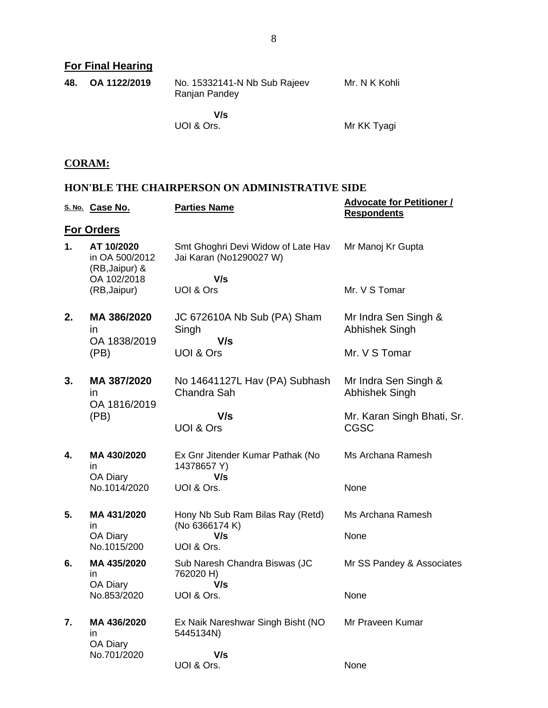**For Final Hearing**

| 48. | OA 1122/2019 | No. 15332141-N Nb Sub Rajeev<br>Ranjan Pandey | Mr. N K Kohli |
|-----|--------------|-----------------------------------------------|---------------|
|     |              | V/s<br>UOI & Ors.                             | Mr KK Tyagi   |

#### **CORAM:**

#### **HON'BLE THE CHAIRPERSON ON ADMINISTRATIVE SIDE**

|    | S. No. Case No.                                | <b>Parties Name</b>                                           | <b>Advocate for Petitioner /</b><br><b>Respondents</b> |
|----|------------------------------------------------|---------------------------------------------------------------|--------------------------------------------------------|
|    | <b>For Orders</b>                              |                                                               |                                                        |
| 1. | AT 10/2020<br>in OA 500/2012<br>(RB, Jaipur) & | Smt Ghoghri Devi Widow of Late Hav<br>Jai Karan (No1290027 W) | Mr Manoj Kr Gupta                                      |
|    | OA 102/2018<br>(RB, Jaipur)                    | V/s<br>UOI & Ors                                              | Mr. V S Tomar                                          |
| 2. | MA 386/2020<br>$\mathsf{I}$                    | JC 672610A Nb Sub (PA) Sham<br>Singh                          | Mr Indra Sen Singh &<br>Abhishek Singh                 |
|    | OA 1838/2019<br>(PB)                           | V/s<br><b>UOI &amp; Ors</b>                                   | Mr. V S Tomar                                          |
| 3. | MA 387/2020<br>in<br>OA 1816/2019              | No 14641127L Hav (PA) Subhash<br>Chandra Sah                  | Mr Indra Sen Singh &<br><b>Abhishek Singh</b>          |
|    | (PB)                                           | V/s<br><b>UOI &amp; Ors</b>                                   | Mr. Karan Singh Bhati, Sr.<br><b>CGSC</b>              |
| 4. | MA 430/2020<br>in.                             | Ex Gnr Jitender Kumar Pathak (No<br>14378657 Y)               | Ms Archana Ramesh                                      |
|    | OA Diary<br>No.1014/2020                       | V/s<br>UOI & Ors.                                             | None                                                   |
| 5. | MA 431/2020<br>in.                             | Hony Nb Sub Ram Bilas Ray (Retd)<br>(No 6366174 K)            | Ms Archana Ramesh                                      |
|    | OA Diary<br>No.1015/200                        | V/s<br>UOI & Ors.                                             | None                                                   |
| 6. | MA 435/2020<br>in.                             | Sub Naresh Chandra Biswas (JC<br>762020 H)                    | Mr SS Pandey & Associates                              |
|    | OA Diary<br>No.853/2020                        | V/s<br>UOI & Ors.                                             | None                                                   |
| 7. | MA 436/2020<br>in<br>OA Diary                  | Ex Naik Nareshwar Singh Bisht (NO<br>5445134N)                | Mr Praveen Kumar                                       |
|    | No.701/2020                                    | V/s<br>UOI & Ors.                                             | None                                                   |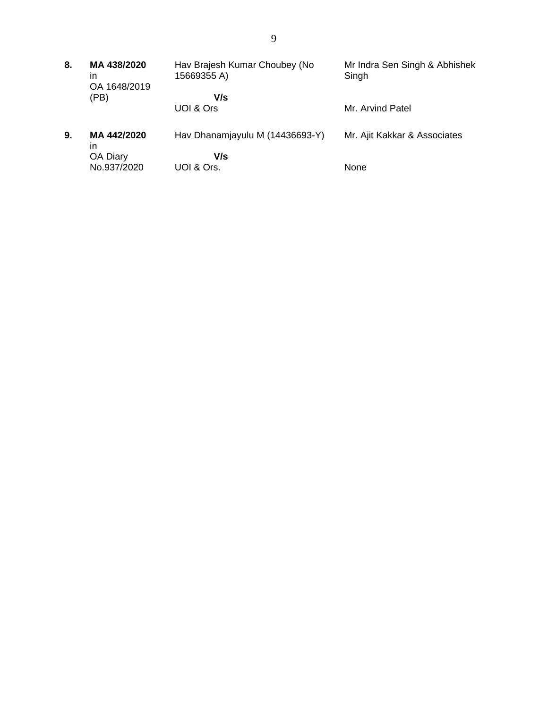| 8. | MA 438/2020<br>in<br>OA 1648/2019 | Hav Brajesh Kumar Choubey (No<br>15669355 A) | Mr Indra Sen Singh & Abhishek<br>Singh |
|----|-----------------------------------|----------------------------------------------|----------------------------------------|
|    | (PB)                              | V/s                                          |                                        |
|    |                                   | UOI & Ors                                    | Mr. Arvind Patel                       |
| 9. | MA 442/2020<br>in                 | Hav Dhanamjayulu M (14436693-Y)              | Mr. Ajit Kakkar & Associates           |
|    | OA Diary                          | V/s                                          |                                        |
|    | No.937/2020                       | UOI & Ors.                                   | None                                   |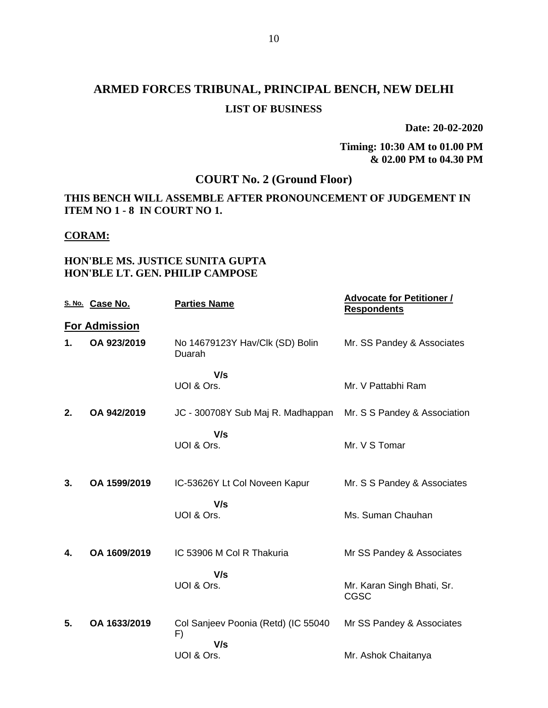# **ARMED FORCES TRIBUNAL, PRINCIPAL BENCH, NEW DELHI LIST OF BUSINESS**

**Date: 20-02-2020**

**Timing: 10:30 AM to 01.00 PM & 02.00 PM to 04.30 PM**

## **COURT No. 2 (Ground Floor)**

#### **THIS BENCH WILL ASSEMBLE AFTER PRONOUNCEMENT OF JUDGEMENT IN ITEM NO 1 - 8 IN COURT NO 1.**

#### **CORAM:**

#### **HON'BLE MS. JUSTICE SUNITA GUPTA HON'BLE LT. GEN. PHILIP CAMPOSE**

|    | S. No. Case No.      | <b>Parties Name</b>                       | <b>Advocate for Petitioner /</b><br><b>Respondents</b> |
|----|----------------------|-------------------------------------------|--------------------------------------------------------|
|    | <b>For Admission</b> |                                           |                                                        |
| 1. | OA 923/2019          | No 14679123Y Hav/Clk (SD) Bolin<br>Duarah | Mr. SS Pandey & Associates                             |
|    |                      | V/s                                       |                                                        |
|    |                      | UOI & Ors.                                | Mr. V Pattabhi Ram                                     |
| 2. | OA 942/2019          | JC - 300708Y Sub Maj R. Madhappan         | Mr. S S Pandey & Association                           |
|    |                      | V/s<br>UOI & Ors.                         | Mr. V S Tomar                                          |
| 3. | OA 1599/2019         | IC-53626Y Lt Col Noveen Kapur             | Mr. S S Pandey & Associates                            |
|    |                      | V/s<br>UOI & Ors.                         | Ms. Suman Chauhan                                      |
| 4. | OA 1609/2019         | IC 53906 M Col R Thakuria                 | Mr SS Pandey & Associates                              |
|    |                      | V/s<br>UOI & Ors.                         | Mr. Karan Singh Bhati, Sr.<br>CGSC                     |
| 5. | OA 1633/2019         | Col Sanjeev Poonia (Retd) (IC 55040<br>F) | Mr SS Pandey & Associates                              |
|    |                      | V/s<br>UOI & Ors.                         | Mr. Ashok Chaitanya                                    |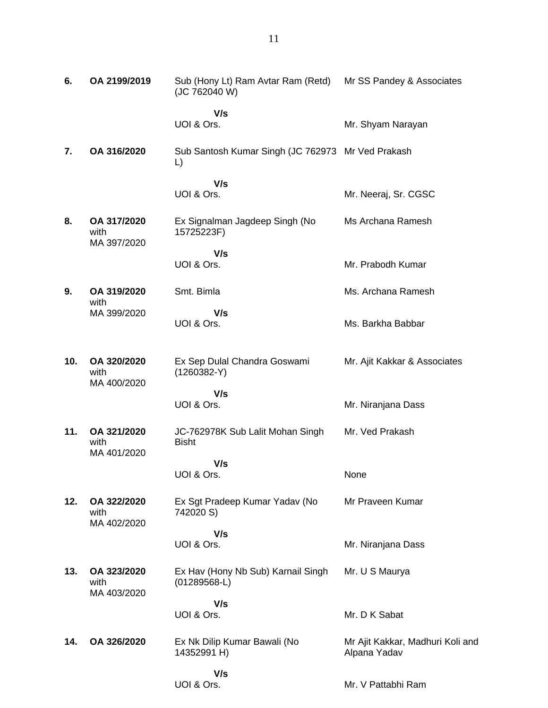| 6.  | OA 2199/2019                       | Sub (Hony Lt) Ram Avtar Ram (Retd) Mr SS Pandey & Associates<br>(JC 762040 W) |                                                  |
|-----|------------------------------------|-------------------------------------------------------------------------------|--------------------------------------------------|
|     |                                    | V/s<br>UOI & Ors.                                                             | Mr. Shyam Narayan                                |
| 7.  | OA 316/2020                        | Sub Santosh Kumar Singh (JC 762973 Mr Ved Prakash<br>$\mathsf{L}$             |                                                  |
|     |                                    | V/s<br>UOI & Ors.                                                             | Mr. Neeraj, Sr. CGSC                             |
| 8.  | OA 317/2020<br>with<br>MA 397/2020 | Ex Signalman Jagdeep Singh (No<br>15725223F)                                  | Ms Archana Ramesh                                |
|     |                                    | V/s<br>UOI & Ors.                                                             | Mr. Prabodh Kumar                                |
| 9.  | OA 319/2020<br>with                | Smt. Bimla                                                                    | Ms. Archana Ramesh                               |
|     | MA 399/2020                        | V/s<br>UOI & Ors.                                                             | Ms. Barkha Babbar                                |
| 10. | OA 320/2020<br>with<br>MA 400/2020 | Ex Sep Dulal Chandra Goswami<br>$(1260382-Y)$                                 | Mr. Ajit Kakkar & Associates                     |
|     |                                    | V/s<br>UOI & Ors.                                                             | Mr. Niranjana Dass                               |
| 11. | OA 321/2020<br>with                | JC-762978K Sub Lalit Mohan Singh<br><b>Bisht</b>                              | Mr. Ved Prakash                                  |
|     | MA 401/2020                        | V/s                                                                           |                                                  |
|     |                                    | UOI & Ors.                                                                    | None                                             |
| 12. | OA 322/2020<br>with                | Ex Sgt Pradeep Kumar Yadav (No<br>742020 S)                                   | Mr Praveen Kumar                                 |
|     | MA 402/2020                        | V/s<br>UOI & Ors.                                                             | Mr. Niranjana Dass                               |
| 13. | OA 323/2020<br>with<br>MA 403/2020 | Ex Hav (Hony Nb Sub) Karnail Singh<br>$(01289568-L)$                          | Mr. U S Maurya                                   |
|     |                                    | V/s<br>UOI & Ors.                                                             | Mr. D K Sabat                                    |
|     |                                    |                                                                               |                                                  |
| 14. | OA 326/2020                        | Ex Nk Dilip Kumar Bawali (No<br>14352991 H)                                   | Mr Ajit Kakkar, Madhuri Koli and<br>Alpana Yadav |

 **V/s** UOI & Ors.

Mr. V Pattabhi Ram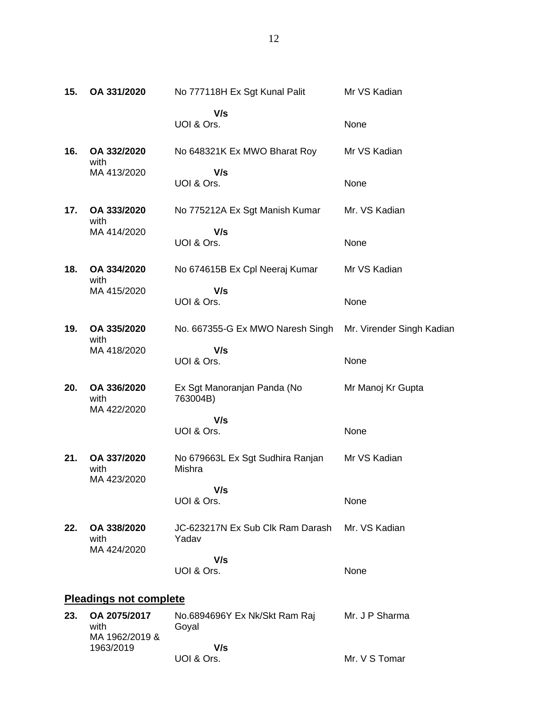| 15. | OA 331/2020                        | No 777118H Ex Sgt Kunal Palit              | Mr VS Kadian              |
|-----|------------------------------------|--------------------------------------------|---------------------------|
|     |                                    | V/s<br>UOI & Ors.                          | None                      |
| 16. | OA 332/2020<br>with                | No 648321K Ex MWO Bharat Roy               | Mr VS Kadian              |
|     | MA 413/2020                        | V/s<br>UOI & Ors.                          | None                      |
| 17. | OA 333/2020<br>with                | No 775212A Ex Sgt Manish Kumar             | Mr. VS Kadian             |
|     | MA 414/2020                        | V/s<br>UOI & Ors.                          | None                      |
| 18. | OA 334/2020<br>with                | No 674615B Ex Cpl Neeraj Kumar             | Mr VS Kadian              |
|     | MA 415/2020                        | V/s<br>UOI & Ors.                          | None                      |
| 19. | OA 335/2020<br>with                | No. 667355-G Ex MWO Naresh Singh           | Mr. Virender Singh Kadian |
|     | MA 418/2020                        | V/s<br>UOI & Ors.                          | None                      |
| 20. | OA 336/2020<br>with<br>MA 422/2020 | Ex Sgt Manoranjan Panda (No<br>763004B)    | Mr Manoj Kr Gupta         |
|     |                                    | V/s<br>UOI & Ors.                          | None                      |
| 21. | OA 337/2020<br>with                | No 679663L Ex Sgt Sudhira Ranjan<br>Mishra | Mr VS Kadian              |
|     | MA 423/2020                        | V/s<br>UOI & Ors.                          | None                      |

**22. OA 338/2020** with MA 424/2020 JC-623217N Ex Sub Clk Ram Darash Mr. VS Kadian Yadav  **V/s** UOI & Ors. None

# **Pleadings not complete**

| 23. | OA 2075/2017<br>with<br>MA 1962/2019 & | No.6894696Y Ex Nk/Skt Ram Raj<br>Goval | Mr. J P Sharma |
|-----|----------------------------------------|----------------------------------------|----------------|
|     | 1963/2019                              | V/s                                    |                |
|     |                                        | UOI & Ors.                             | Mr. V S Tomar  |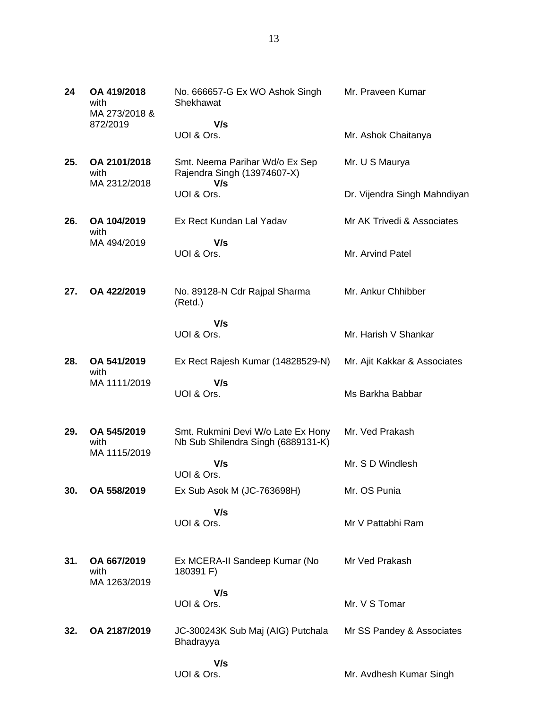| 24  | OA 419/2018<br>with<br>MA 273/2018 & | No. 666657-G Ex WO Ashok Singh<br>Shekhawat                              | Mr. Praveen Kumar            |
|-----|--------------------------------------|--------------------------------------------------------------------------|------------------------------|
|     | 872/2019                             | V/s                                                                      |                              |
|     |                                      | UOI & Ors.                                                               | Mr. Ashok Chaitanya          |
| 25. | OA 2101/2018<br>with<br>MA 2312/2018 | Smt. Neema Parihar Wd/o Ex Sep<br>Rajendra Singh (13974607-X)<br>V/s     | Mr. U S Maurya               |
|     |                                      | UOI & Ors.                                                               | Dr. Vijendra Singh Mahndiyan |
| 26. | OA 104/2019<br>with                  | Ex Rect Kundan Lal Yadav                                                 | Mr AK Trivedi & Associates   |
|     | MA 494/2019                          | V/s                                                                      |                              |
|     |                                      | UOI & Ors.                                                               | Mr. Arvind Patel             |
| 27. | OA 422/2019                          | No. 89128-N Cdr Rajpal Sharma<br>(Retd.)                                 | Mr. Ankur Chhibber           |
|     |                                      | V/s<br>UOI & Ors.                                                        | Mr. Harish V Shankar         |
| 28. | OA 541/2019<br>with                  | Ex Rect Rajesh Kumar (14828529-N)                                        | Mr. Ajit Kakkar & Associates |
|     | MA 1111/2019                         | V/s                                                                      |                              |
|     |                                      | UOI & Ors.                                                               | Ms Barkha Babbar             |
| 29. | OA 545/2019<br>with<br>MA 1115/2019  | Smt. Rukmini Devi W/o Late Ex Hony<br>Nb Sub Shilendra Singh (6889131-K) | Mr. Ved Prakash              |
|     |                                      | V/s<br>UOI & Ors.                                                        | Mr. S D Windlesh             |
| 30. | OA 558/2019                          | Ex Sub Asok M (JC-763698H)                                               | Mr. OS Punia                 |
|     |                                      | V/s<br>UOI & Ors.                                                        | Mr V Pattabhi Ram            |
| 31. | OA 667/2019<br>with<br>MA 1263/2019  | Ex MCERA-II Sandeep Kumar (No<br>180391 F)                               | Mr Ved Prakash               |
|     |                                      | V/s                                                                      |                              |
|     |                                      | UOI & Ors.                                                               | Mr. V S Tomar                |
| 32. | OA 2187/2019                         | JC-300243K Sub Maj (AIG) Putchala<br>Bhadrayya                           | Mr SS Pandey & Associates    |
|     |                                      | V/s                                                                      |                              |
|     |                                      | UOI & Ors.                                                               | Mr. Avdhesh Kumar Singh      |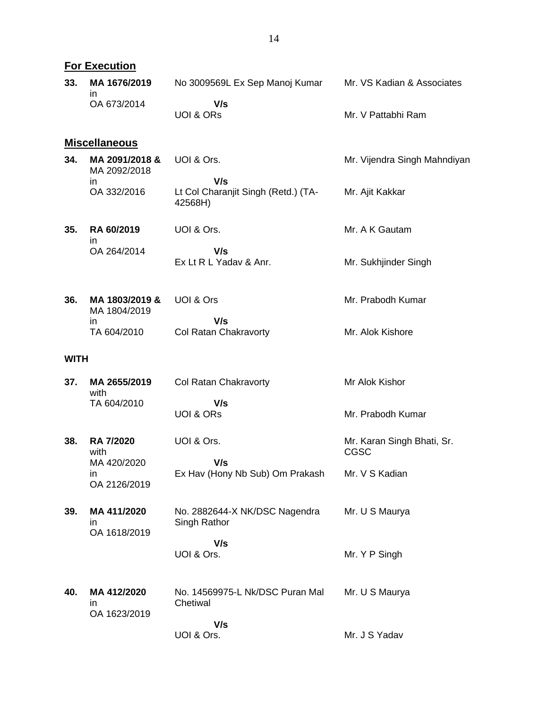|             | <b>For Execution</b>               |                                                       |                                           |
|-------------|------------------------------------|-------------------------------------------------------|-------------------------------------------|
| 33.         | MA 1676/2019<br>$\mathsf{I}$       | No 3009569L Ex Sep Manoj Kumar                        | Mr. VS Kadian & Associates                |
|             | OA 673/2014                        | V/s<br><b>UOI &amp; ORS</b>                           | Mr. V Pattabhi Ram                        |
|             | <b>Miscellaneous</b>               |                                                       |                                           |
| 34.         | MA 2091/2018 &<br>MA 2092/2018     | UOI & Ors.                                            | Mr. Vijendra Singh Mahndiyan              |
|             | in.<br>OA 332/2016                 | V/s<br>Lt Col Charanjit Singh (Retd.) (TA-<br>42568H) | Mr. Ajit Kakkar                           |
| 35.         | RA 60/2019<br>$\mathsf{I}$         | UOI & Ors.                                            | Mr. A K Gautam                            |
|             | OA 264/2014                        | V/s<br>Ex Lt R L Yaday & Anr.                         | Mr. Sukhjinder Singh                      |
| 36.         | MA 1803/2019 &<br>MA 1804/2019     | UOI & Ors                                             | Mr. Prabodh Kumar                         |
|             | in.<br>TA 604/2010                 | V/s<br>Col Ratan Chakravorty                          | Mr. Alok Kishore                          |
| <b>WITH</b> |                                    |                                                       |                                           |
| 37.         | MA 2655/2019<br>with               | Col Ratan Chakravorty                                 | Mr Alok Kishor                            |
|             | TA 604/2010                        | V/s<br><b>UOI &amp; ORS</b>                           | Mr. Prabodh Kumar                         |
| 38.         | <b>RA 7/2020</b><br>with           | UOI & Ors.                                            | Mr. Karan Singh Bhati, Sr.<br><b>CGSC</b> |
|             | MA 420/2020<br>in.<br>OA 2126/2019 | V/s<br>Ex Hav (Hony Nb Sub) Om Prakash                | Mr. V S Kadian                            |
| 39.         | MA 411/2020<br>ın<br>OA 1618/2019  | No. 2882644-X NK/DSC Nagendra<br>Singh Rathor         | Mr. U S Maurya                            |
|             |                                    | V/s<br>UOI & Ors.                                     | Mr. Y P Singh                             |
| 40.         | MA 412/2020<br>ın<br>OA 1623/2019  | No. 14569975-L Nk/DSC Puran Mal<br>Chetiwal           | Mr. U S Maurya                            |
|             |                                    | V/s<br>UOI & Ors.                                     | Mr. J S Yadav                             |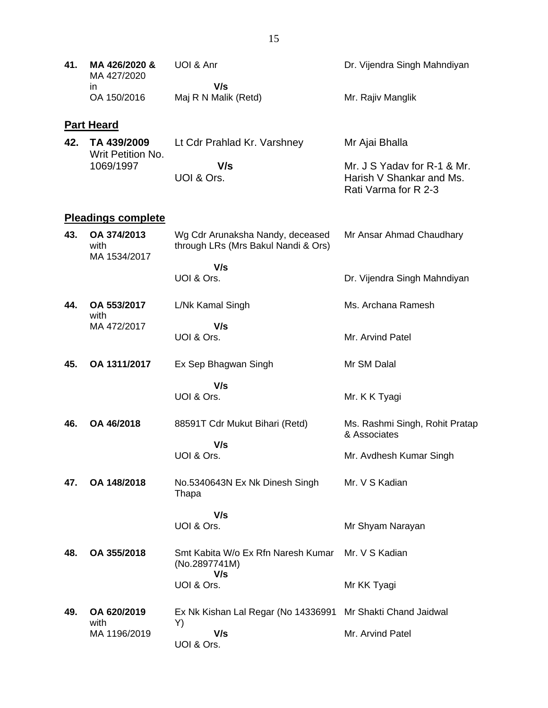| 41. | MA 426/2020 &<br>MA 427/2020<br>in. | UOI & Anr<br>V/s                                                        | Dr. Vijendra Singh Mahndiyan                                                    |
|-----|-------------------------------------|-------------------------------------------------------------------------|---------------------------------------------------------------------------------|
|     | OA 150/2016                         | Maj R N Malik (Retd)                                                    | Mr. Rajiv Manglik                                                               |
|     | <b>Part Heard</b>                   |                                                                         |                                                                                 |
| 42. | TA 439/2009<br>Writ Petition No.    | Lt Cdr Prahlad Kr. Varshney                                             | Mr Ajai Bhalla                                                                  |
|     | 1069/1997                           | V/s<br>UOI & Ors.                                                       | Mr. J S Yadav for R-1 & Mr.<br>Harish V Shankar and Ms.<br>Rati Varma for R 2-3 |
|     | <b>Pleadings complete</b>           |                                                                         |                                                                                 |
| 43. | OA 374/2013<br>with<br>MA 1534/2017 | Wg Cdr Arunaksha Nandy, deceased<br>through LRs (Mrs Bakul Nandi & Ors) | Mr Ansar Ahmad Chaudhary                                                        |
|     |                                     | V/s<br>UOI & Ors.                                                       | Dr. Vijendra Singh Mahndiyan                                                    |
| 44. | OA 553/2017<br>with                 | L/Nk Kamal Singh                                                        | Ms. Archana Ramesh                                                              |
|     | MA 472/2017                         | V/s<br>UOI & Ors.                                                       | Mr. Arvind Patel                                                                |
| 45. | OA 1311/2017                        | Ex Sep Bhagwan Singh                                                    | Mr SM Dalal                                                                     |
|     |                                     | V/s<br>UOI & Ors.                                                       | Mr. K K Tyagi                                                                   |
| 46. | OA 46/2018                          | 88591T Cdr Mukut Bihari (Retd)                                          | Ms. Rashmi Singh, Rohit Pratap<br>& Associates                                  |
|     |                                     | V/s<br>UOI & Ors.                                                       | Mr. Avdhesh Kumar Singh                                                         |
| 47. | OA 148/2018                         | No.5340643N Ex Nk Dinesh Singh<br>Thapa                                 | Mr. V S Kadian                                                                  |
|     |                                     | V/s                                                                     |                                                                                 |
|     |                                     | UOI & Ors.                                                              | Mr Shyam Narayan                                                                |
| 48. | OA 355/2018                         | Smt Kabita W/o Ex Rfn Naresh Kumar<br>(No.2897741M)<br>V/s              | Mr. V S Kadian                                                                  |
|     |                                     | UOI & Ors.                                                              | Mr KK Tyagi                                                                     |
| 49. | OA 620/2019<br>with                 | Ex Nk Kishan Lal Regar (No 14336991 Mr Shakti Chand Jaidwal<br>Y)       |                                                                                 |
|     | MA 1196/2019                        | V/s<br>UOI & Ors.                                                       | Mr. Arvind Patel                                                                |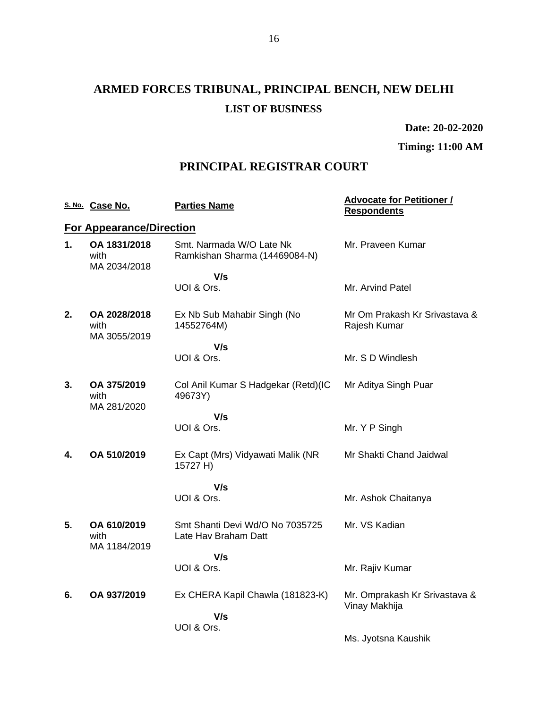# **ARMED FORCES TRIBUNAL, PRINCIPAL BENCH, NEW DELHI LIST OF BUSINESS**

**Date: 20-02-2020**

**Timing: 11:00 AM**

## **PRINCIPAL REGISTRAR COURT**

|    | S. No. Case No.                      | <b>Parties Name</b>                                       | <b>Advocate for Petitioner /</b><br><b>Respondents</b> |
|----|--------------------------------------|-----------------------------------------------------------|--------------------------------------------------------|
|    | <b>For Appearance/Direction</b>      |                                                           |                                                        |
| 1. | OA 1831/2018<br>with<br>MA 2034/2018 | Smt. Narmada W/O Late Nk<br>Ramkishan Sharma (14469084-N) | Mr. Praveen Kumar                                      |
|    |                                      | V/s                                                       |                                                        |
|    |                                      | UOI & Ors.                                                | Mr. Arvind Patel                                       |
| 2. | OA 2028/2018<br>with<br>MA 3055/2019 | Ex Nb Sub Mahabir Singh (No<br>14552764M)                 | Mr Om Prakash Kr Srivastava &<br>Rajesh Kumar          |
|    |                                      | V/s                                                       |                                                        |
|    |                                      | UOI & Ors.                                                | Mr. S D Windlesh                                       |
| 3. | OA 375/2019<br>with<br>MA 281/2020   | Col Anil Kumar S Hadgekar (Retd)(IC<br>49673Y)            | Mr Aditya Singh Puar                                   |
|    |                                      | V/s                                                       |                                                        |
|    |                                      | UOI & Ors.                                                | Mr. Y P Singh                                          |
| 4. | OA 510/2019                          | Ex Capt (Mrs) Vidyawati Malik (NR<br>15727 H)             | Mr Shakti Chand Jaidwal                                |
|    |                                      | V/s                                                       |                                                        |
|    |                                      | UOI & Ors.                                                | Mr. Ashok Chaitanya                                    |
| 5. | OA 610/2019<br>with<br>MA 1184/2019  | Smt Shanti Devi Wd/O No 7035725<br>Late Hav Braham Datt   | Mr. VS Kadian                                          |
|    |                                      | V/s                                                       |                                                        |
|    |                                      | UOI & Ors.                                                | Mr. Rajiv Kumar                                        |
| 6. | OA 937/2019                          | Ex CHERA Kapil Chawla (181823-K)<br>V/s                   | Mr. Omprakash Kr Srivastava &<br>Vinay Makhija         |
|    |                                      | UOI & Ors.                                                |                                                        |
|    |                                      |                                                           | Ms. Jyotsna Kaushik                                    |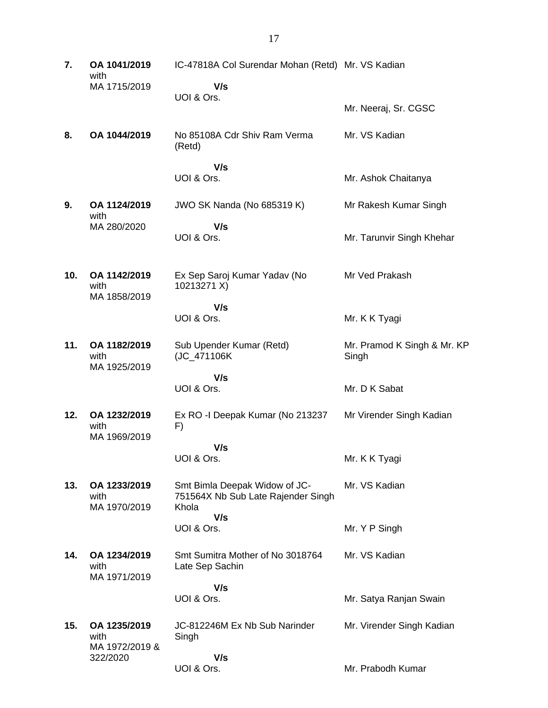**7. OA 1041/2019** with MA 1715/2019 IC-47818A Col Surendar Mohan (Retd) Mr. VS Kadian  **V/s** UOI & Ors. Mr. Neeraj, Sr. CGSC **8. OA 1044/2019** No 85108A Cdr Shiv Ram Verma (Retd)  **V/s** UOI & Ors. Mr. VS Kadian Mr. Ashok Chaitanya **9. OA 1124/2019** with MA 280/2020 JWO SK Nanda (No 685319 K)  **V/s** UOI & Ors. Mr Rakesh Kumar Singh Mr. Tarunvir Singh Khehar **10. OA 1142/2019** with MA 1858/2019 Ex Sep Saroj Kumar Yadav (No 10213271 X)  **V/s** UOI & Ors. Mr Ved Prakash Mr. K K Tyagi **11. OA 1182/2019** with MA 1925/2019 Sub Upender Kumar (Retd) (JC\_471106K  **V/s** UOI & Ors. Mr. Pramod K Singh & Mr. KP Singh Mr. D K Sabat **12. OA 1232/2019** with MA 1969/2019 Ex RO -I Deepak Kumar (No 213237 F)  **V/s** UOI & Ors. Mr Virender Singh Kadian Mr. K K Tyagi **13. OA 1233/2019** with MA 1970/2019 Smt Bimla Deepak Widow of JC-751564X Nb Sub Late Rajender Singh Khola  **V/s** UOI & Ors. Mr. VS Kadian Mr. Y P Singh **14. OA 1234/2019** with MA 1971/2019 Smt Sumitra Mother of No 3018764 Late Sep Sachin  **V/s** UOI & Ors. Mr. VS Kadian Mr. Satya Ranjan Swain **15. OA 1235/2019** with MA 1972/2019 & 322/2020 JC-812246M Ex Nb Sub Narinder Singh  **V/s** UOI & Ors. Mr. Virender Singh Kadian Mr. Prabodh Kumar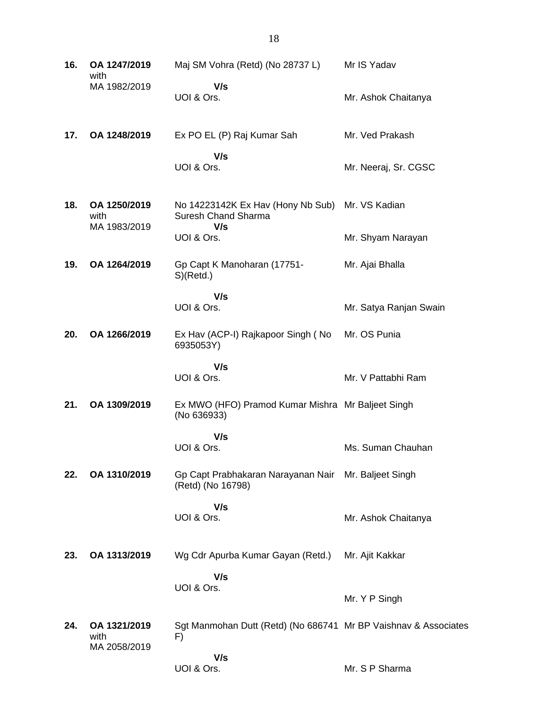| 16. | OA 1247/2019<br>with                 | Maj SM Vohra (Retd) (No 28737 L)                                                     | Mr IS Yadav            |
|-----|--------------------------------------|--------------------------------------------------------------------------------------|------------------------|
|     | MA 1982/2019                         | V/s<br>UOI & Ors.                                                                    | Mr. Ashok Chaitanya    |
| 17. | OA 1248/2019                         | Ex PO EL (P) Raj Kumar Sah                                                           | Mr. Ved Prakash        |
|     |                                      | V/s<br>UOI & Ors.                                                                    | Mr. Neeraj, Sr. CGSC   |
| 18. | OA 1250/2019<br>with<br>MA 1983/2019 | No 14223142K Ex Hav (Hony Nb Sub) Mr. VS Kadian<br><b>Suresh Chand Sharma</b><br>V/s |                        |
|     |                                      | UOI & Ors.                                                                           | Mr. Shyam Narayan      |
| 19. | OA 1264/2019                         | Gp Capt K Manoharan (17751-<br>S(Retd.)                                              | Mr. Ajai Bhalla        |
|     |                                      | V/s<br>UOI & Ors.                                                                    | Mr. Satya Ranjan Swain |
| 20. | OA 1266/2019                         | Ex Hav (ACP-I) Rajkapoor Singh (No<br>6935053Y)                                      | Mr. OS Punia           |
|     |                                      | V/s<br>UOI & Ors.                                                                    | Mr. V Pattabhi Ram     |
| 21. | OA 1309/2019                         | Ex MWO (HFO) Pramod Kumar Mishra Mr Baljeet Singh<br>(No 636933)                     |                        |
|     |                                      | V/s<br>UOI & Ors.                                                                    | Ms. Suman Chauhan      |
| 22. | OA 1310/2019                         | Gp Capt Prabhakaran Narayanan Nair Mr. Baljeet Singh<br>(Retd) (No 16798)            |                        |
|     |                                      | V/s<br>UOI & Ors.                                                                    | Mr. Ashok Chaitanya    |
| 23. | OA 1313/2019                         | Wg Cdr Apurba Kumar Gayan (Retd.)                                                    | Mr. Ajit Kakkar        |
|     |                                      | V/s<br>UOI & Ors.                                                                    | Mr. Y P Singh          |
| 24. | OA 1321/2019<br>with<br>MA 2058/2019 | Sgt Manmohan Dutt (Retd) (No 686741 Mr BP Vaishnav & Associates<br>F)                |                        |
|     |                                      | V/s<br>UOI & Ors.                                                                    | Mr. S P Sharma         |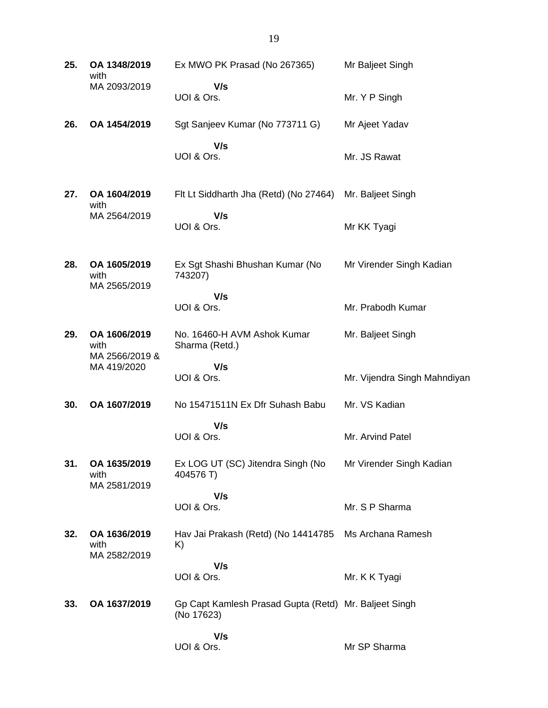| 25. | OA 1348/2019<br>with                   | Ex MWO PK Prasad (No 267365)                                        | Mr Baljeet Singh             |
|-----|----------------------------------------|---------------------------------------------------------------------|------------------------------|
|     | MA 2093/2019                           | V/s<br>UOI & Ors.                                                   | Mr. Y P Singh                |
| 26. | OA 1454/2019                           | Sgt Sanjeev Kumar (No 773711 G)                                     | Mr Ajeet Yadav               |
|     |                                        | V/s<br>UOI & Ors.                                                   | Mr. JS Rawat                 |
| 27. | OA 1604/2019<br>with                   | Flt Lt Siddharth Jha (Retd) (No 27464)                              | Mr. Baljeet Singh            |
|     | MA 2564/2019                           | V/s<br>UOI & Ors.                                                   | Mr KK Tyagi                  |
| 28. | OA 1605/2019<br>with<br>MA 2565/2019   | Ex Sgt Shashi Bhushan Kumar (No<br>743207)                          | Mr Virender Singh Kadian     |
|     |                                        | V/s<br>UOI & Ors.                                                   | Mr. Prabodh Kumar            |
| 29. | OA 1606/2019<br>with<br>MA 2566/2019 & | No. 16460-H AVM Ashok Kumar<br>Sharma (Retd.)                       | Mr. Baljeet Singh            |
|     | MA 419/2020                            | V/s<br>UOI & Ors.                                                   | Mr. Vijendra Singh Mahndiyan |
| 30. | OA 1607/2019                           | No 15471511N Ex Dfr Suhash Babu                                     | Mr. VS Kadian                |
|     |                                        | V/s<br>UOI & Ors.                                                   | Mr. Arvind Patel             |
| 31. | OA 1635/2019<br>with<br>MA 2581/2019   | Ex LOG UT (SC) Jitendra Singh (No<br>404576 T)                      | Mr Virender Singh Kadian     |
|     |                                        | V/s<br>UOI & Ors.                                                   | Mr. S P Sharma               |
| 32. | OA 1636/2019<br>with<br>MA 2582/2019   | Hav Jai Prakash (Retd) (No 14414785<br>K)                           | Ms Archana Ramesh            |
|     |                                        | V/s<br>UOI & Ors.                                                   | Mr. K K Tyagi                |
| 33. | OA 1637/2019                           | Gp Capt Kamlesh Prasad Gupta (Retd) Mr. Baljeet Singh<br>(No 17623) |                              |
|     |                                        | V/s<br>UOI & Ors.                                                   | Mr SP Sharma                 |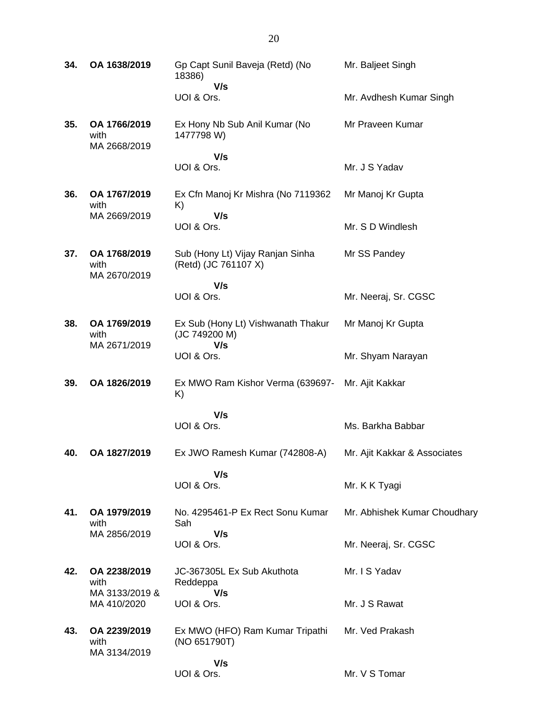| 34. | OA 1638/2019                         | Gp Capt Sunil Baveja (Retd) (No<br>18386)                | Mr. Baljeet Singh            |
|-----|--------------------------------------|----------------------------------------------------------|------------------------------|
|     |                                      | V/s<br>UOI & Ors.                                        | Mr. Avdhesh Kumar Singh      |
| 35. | OA 1766/2019<br>with<br>MA 2668/2019 | Ex Hony Nb Sub Anil Kumar (No<br>1477798 W)              | Mr Praveen Kumar             |
|     |                                      | V/s<br>UOI & Ors.                                        | Mr. J S Yadav                |
| 36. | OA 1767/2019<br>with                 | Ex Cfn Manoj Kr Mishra (No 7119362<br>K)                 | Mr Manoj Kr Gupta            |
|     | MA 2669/2019                         | V/s<br>UOI & Ors.                                        | Mr. S D Windlesh             |
| 37. | OA 1768/2019<br>with<br>MA 2670/2019 | Sub (Hony Lt) Vijay Ranjan Sinha<br>(Retd) (JC 761107 X) | Mr SS Pandey                 |
|     |                                      | V/s<br>UOI & Ors.                                        | Mr. Neeraj, Sr. CGSC         |
| 38. | OA 1769/2019<br>with                 | Ex Sub (Hony Lt) Vishwanath Thakur<br>(JC 749200 M)      | Mr Manoj Kr Gupta            |
|     | MA 2671/2019                         | V/s<br>UOI & Ors.                                        | Mr. Shyam Narayan            |
| 39. | OA 1826/2019                         | Ex MWO Ram Kishor Verma (639697-<br>K)                   | Mr. Ajit Kakkar              |
|     |                                      | V/s<br>UOI & Ors.                                        | Ms. Barkha Babbar            |
| 40. | OA 1827/2019                         | Ex JWO Ramesh Kumar (742808-A)                           | Mr. Ajit Kakkar & Associates |
|     |                                      | V/s<br>UOI & Ors.                                        | Mr. K K Tyagi                |
| 41. | OA 1979/2019<br>with                 | No. 4295461-P Ex Rect Sonu Kumar<br>Sah                  | Mr. Abhishek Kumar Choudhary |
|     | MA 2856/2019                         | V/s<br>UOI & Ors.                                        | Mr. Neeraj, Sr. CGSC         |
| 42. | OA 2238/2019<br>with                 | JC-367305L Ex Sub Akuthota<br>Reddeppa<br>V/s            | Mr. I S Yadav                |
|     | MA 3133/2019 &<br>MA 410/2020        | UOI & Ors.                                               | Mr. J S Rawat                |
| 43. | OA 2239/2019<br>with<br>MA 3134/2019 | Ex MWO (HFO) Ram Kumar Tripathi<br>(NO 651790T)          | Mr. Ved Prakash              |
|     |                                      | V/s<br>UOI & Ors.                                        | Mr. V S Tomar                |